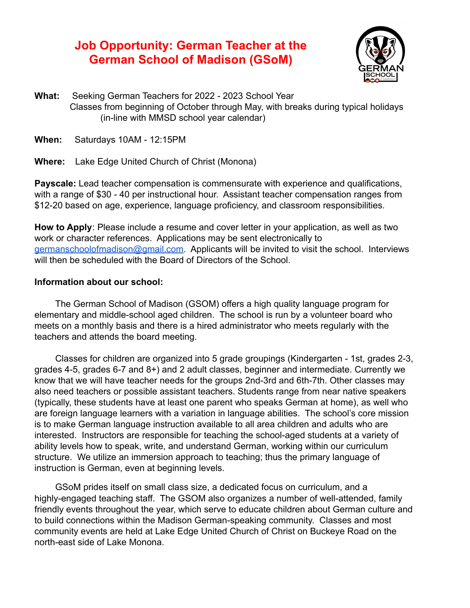# **Job Opportunity: German Teacher at the German School of Madison (GSoM)**



**What:** Seeking German Teachers for 2022 - 2023 School Year Classes from beginning of October through May, with breaks during typical holidays (in-line with MMSD school year calendar)

**When:** Saturdays 10AM - 12:15PM

**Where:** Lake Edge United Church of Christ (Monona)

**Payscale:** Lead teacher compensation is commensurate with experience and qualifications, with a range of \$30 - 40 per instructional hour. Assistant teacher compensation ranges from \$12-20 based on age, experience, language proficiency, and classroom responsibilities.

**How to Apply**: Please include a resume and cover letter in your application, as well as two work or character references. Applications may be sent electronically to [germanschoolofmadison@gmail.com](mailto:germanschoolofmadison@gmail.com). Applicants will be invited to visit the school. Interviews will then be scheduled with the Board of Directors of the School.

### **Information about our school:**

The German School of Madison (GSOM) offers a high quality language program for elementary and middle-school aged children. The school is run by a volunteer board who meets on a monthly basis and there is a hired administrator who meets regularly with the teachers and attends the board meeting.

Classes for children are organized into 5 grade groupings (Kindergarten - 1st, grades 2-3, grades 4-5, grades 6-7 and 8+) and 2 adult classes, beginner and intermediate. Currently we know that we will have teacher needs for the groups 2nd-3rd and 6th-7th. Other classes may also need teachers or possible assistant teachers. Students range from near native speakers (typically, these students have at least one parent who speaks German at home), as well who are foreign language learners with a variation in language abilities. The school's core mission is to make German language instruction available to all area children and adults who are interested. Instructors are responsible for teaching the school-aged students at a variety of ability levels how to speak, write, and understand German, working within our curriculum structure. We utilize an immersion approach to teaching; thus the primary language of instruction is German, even at beginning levels.

GSoM prides itself on small class size, a dedicated focus on curriculum, and a highly-engaged teaching staff. The GSOM also organizes a number of well-attended, family friendly events throughout the year, which serve to educate children about German culture and to build connections within the Madison German-speaking community. Classes and most community events are held at Lake Edge United Church of Christ on Buckeye Road on the north-east side of Lake Monona.